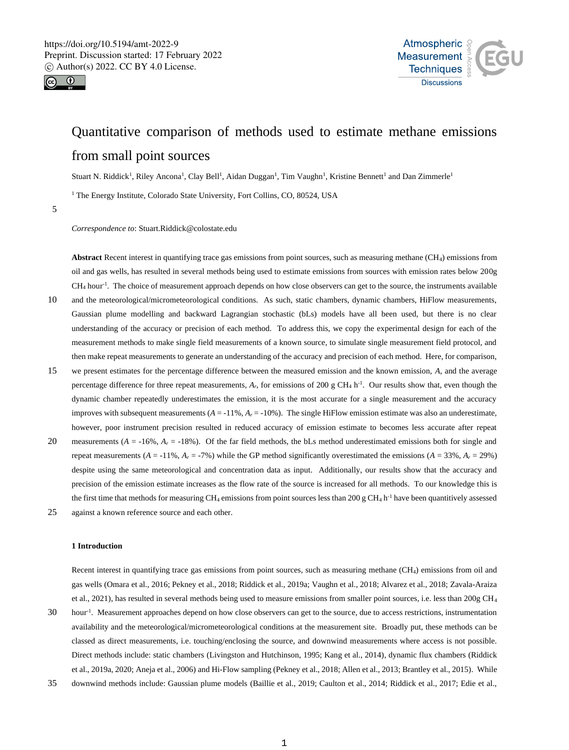



# Quantitative comparison of methods used to estimate methane emissions from small point sources

Stuart N. Riddick<sup>1</sup>, Riley Ancona<sup>1</sup>, Clay Bell<sup>1</sup>, Aidan Duggan<sup>1</sup>, Tim Vaughn<sup>1</sup>, Kristine Bennett<sup>1</sup> and Dan Zimmerle<sup>1</sup>

<sup>1</sup> The Energy Institute, Colorado State University, Fort Collins, CO, 80524, USA

5

*Correspondence to*: Stuart.Riddick@colostate.edu

**Abstract** Recent interest in quantifying trace gas emissions from point sources, such as measuring methane (CH4) emissions from oil and gas wells, has resulted in several methods being used to estimate emissions from sources with emission rates below 200g CH<sub>4</sub> hour<sup>-1</sup>. The choice of measurement approach depends on how close observers can get to the source, the instruments available

- 10 and the meteorological/micrometeorological conditions. As such, static chambers, dynamic chambers, HiFlow measurements, Gaussian plume modelling and backward Lagrangian stochastic (bLs) models have all been used, but there is no clear understanding of the accuracy or precision of each method. To address this, we copy the experimental design for each of the measurement methods to make single field measurements of a known source, to simulate single measurement field protocol, and then make repeat measurements to generate an understanding of the accuracy and precision of each method. Here, for comparison,
- 15 we present estimates for the percentage difference between the measured emission and the known emission, *A*, and the average percentage difference for three repeat measurements,  $A_r$ , for emissions of 200 g CH<sub>4</sub> h<sup>-1</sup>. Our results show that, even though the dynamic chamber repeatedly underestimates the emission, it is the most accurate for a single measurement and the accuracy improves with subsequent measurements  $(A = -11\%, A_r = -10\%)$ . The single HiFlow emission estimate was also an underestimate, however, poor instrument precision resulted in reduced accuracy of emission estimate to becomes less accurate after repeat
- 20 measurements  $(A = -16\%, A_r = -18\%)$ . Of the far field methods, the bLs method underestimated emissions both for single and repeat measurements  $(A = -11\%, A_r = -7\%)$  while the GP method significantly overestimated the emissions  $(A = 33\%, A_r = 29\%)$ despite using the same meteorological and concentration data as input. Additionally, our results show that the accuracy and precision of the emission estimate increases as the flow rate of the source is increased for all methods. To our knowledge this is the first time that methods for measuring  $CH_4$  emissions from point sources less than 200 g  $CH_4$  h<sup>-1</sup> have been quantitively assessed
- 25 against a known reference source and each other.

# **1 Introduction**

Recent interest in quantifying trace gas emissions from point sources, such as measuring methane (CH4) emissions from oil and gas wells (Omara et al., 2016; Pekney et al., 2018; Riddick et al., 2019a; Vaughn et al., 2018; Alvarez et al., 2018; Zavala-Araiza et al., 2021), has resulted in several methods being used to measure emissions from smaller point sources, i.e. less than 200g CH<sup>4</sup>

- 30 hour<sup>1</sup>. Measurement approaches depend on how close observers can get to the source, due to access restrictions, instrumentation availability and the meteorological/micrometeorological conditions at the measurement site. Broadly put, these methods can be classed as direct measurements, i.e. touching/enclosing the source, and downwind measurements where access is not possible. Direct methods include: static chambers (Livingston and Hutchinson, 1995; Kang et al., 2014), dynamic flux chambers (Riddick et al., 2019a, 2020; Aneja et al., 2006) and Hi-Flow sampling (Pekney et al., 2018; Allen et al., 2013; Brantley et al., 2015). While
- 35 downwind methods include: Gaussian plume models (Baillie et al., 2019; Caulton et al., 2014; Riddick et al., 2017; Edie et al.,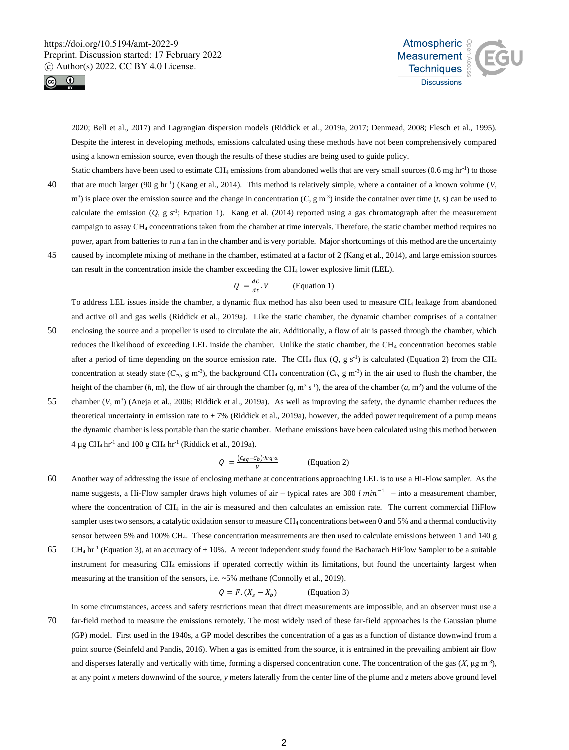



2020; Bell et al., 2017) and Lagrangian dispersion models (Riddick et al., 2019a, 2017; Denmead, 2008; Flesch et al., 1995). Despite the interest in developing methods, emissions calculated using these methods have not been comprehensively compared using a known emission source, even though the results of these studies are being used to guide policy.

- Static chambers have been used to estimate  $CH_4$  emissions from abandoned wells that are very small sources  $(0.6 \text{ mg hr}^{-1})$  to those that are much larger (90 g hr<sup>-1</sup>) (Kang et al., 2014). This method is relatively simple, where a container of a known volume (*V*,  $m<sup>3</sup>$ ) is place over the emission source and the change in concentration (C, g m<sup>-3</sup>) inside the container over time (*t*, s) can be used to calculate the emission  $(Q, g \, s^{-1})$ ; Equation 1). Kang et al. (2014) reported using a gas chromatograph after the measurement campaign to assay CH<sup>4</sup> concentrations taken from the chamber at time intervals. Therefore, the static chamber method requires no power, apart from batteries to run a fan in the chamber and is very portable. Major shortcomings of this method are the uncertainty
- 45 caused by incomplete mixing of methane in the chamber, estimated at a factor of 2 (Kang et al., 2014), and large emission sources can result in the concentration inside the chamber exceeding the CH<sup>4</sup> lower explosive limit (LEL).

$$
Q = \frac{dC}{dt} . V \qquad \text{(Equation 1)}
$$

To address LEL issues inside the chamber, a dynamic flux method has also been used to measure CH<sup>4</sup> leakage from abandoned and active oil and gas wells (Riddick et al., 2019a). Like the static chamber, the dynamic chamber comprises of a container

- 50 enclosing the source and a propeller is used to circulate the air. Additionally, a flow of air is passed through the chamber, which reduces the likelihood of exceeding LEL inside the chamber. Unlike the static chamber, the CH<sub>4</sub> concentration becomes stable after a period of time depending on the source emission rate. The CH<sub>4</sub> flux  $(Q, g s^{-1})$  is calculated (Equation 2) from the CH<sub>4</sub> concentration at steady state  $(C_{eq}, g \text{ m}^{-3})$ , the background CH<sub>4</sub> concentration  $(C_b, g \text{ m}^{-3})$  in the air used to flush the chamber, the height of the chamber  $(h, m)$ , the flow of air through the chamber  $(q, m^3 s^{-1})$ , the area of the chamber  $(a, m^2)$  and the volume of the
- 55 chamber  $(V, m^3)$  (Aneja et al., 2006; Riddick et al., 2019a). As well as improving the safety, the dynamic chamber reduces the theoretical uncertainty in emission rate to  $\pm 7\%$  (Riddick et al., 2019a), however, the added power requirement of a pump means the dynamic chamber is less portable than the static chamber. Methane emissions have been calculated using this method between  $4 \mu$ g CH<sub>4</sub> hr<sup>-1</sup> and 100 g CH<sub>4</sub> hr<sup>-1</sup> (Riddick et al., 2019a).

$$
Q = \frac{(c_{eq} - c_b) \cdot h \cdot q \cdot a}{v}
$$
 (Equation 2)

- 60 Another way of addressing the issue of enclosing methane at concentrations approaching LEL is to use a Hi-Flow sampler. As the name suggests, a Hi-Flow sampler draws high volumes of air – typical rates are 300  $l min^{-1}$  – into a measurement chamber, where the concentration of CH<sub>4</sub> in the air is measured and then calculates an emission rate. The current commercial HiFlow sampler uses two sensors, a catalytic oxidation sensor to measure CH<sub>4</sub> concentrations between 0 and 5% and a thermal conductivity sensor between 5% and 100% CH4. These concentration measurements are then used to calculate emissions between 1 and 140 g
- 65 CH<sub>4</sub> hr<sup>-1</sup> (Equation 3), at an accuracy of  $\pm$  10%. A recent independent study found the Bacharach HiFlow Sampler to be a suitable instrument for measuring CH<sup>4</sup> emissions if operated correctly within its limitations, but found the uncertainty largest when measuring at the transition of the sensors, i.e. ~5% methane (Connolly et al., 2019).

$$
Q = F.(X_s - X_b)
$$
 (Equation 3)

In some circumstances, access and safety restrictions mean that direct measurements are impossible, and an observer must use a

70 far-field method to measure the emissions remotely. The most widely used of these far-field approaches is the Gaussian plume (GP) model. First used in the 1940s, a GP model describes the concentration of a gas as a function of distance downwind from a point source (Seinfeld and Pandis, 2016). When a gas is emitted from the source, it is entrained in the prevailing ambient air flow and disperses laterally and vertically with time, forming a dispersed concentration cone. The concentration of the gas  $(X, \mu g m^{-3})$ , at any point *x* meters downwind of the source, *y* meters laterally from the center line of the plume and *z* meters above ground level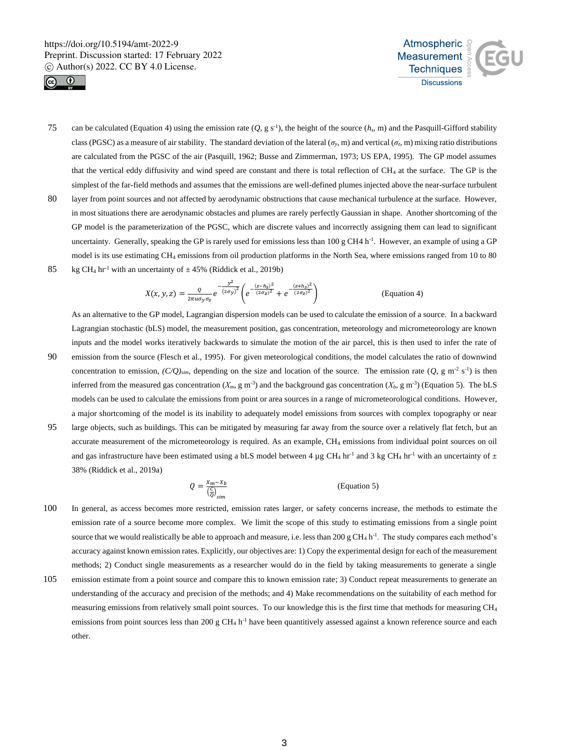



- can be calculated (Equation 4) using the emission rate  $(Q, g s^{-1})$ , the height of the source  $(h_s, m)$  and the Pasquill-Gifford stability class (PGSC) as a measure of air stability. The standard deviation of the lateral ( $\sigma_y$ , m) and vertical ( $\sigma_z$ , m) mixing ratio distributions are calculated from the PGSC of the air (Pasquill, 1962; Busse and Zimmerman, 1973; US EPA, 1995). The GP model assumes that the vertical eddy diffusivity and wind speed are constant and there is total reflection of CH<sub>4</sub> at the surface. The GP is the simplest of the far-field methods and assumes that the emissions are well-defined plumes injected above the near-surface turbulent
- 80 layer from point sources and not affected by aerodynamic obstructions that cause mechanical turbulence at the surface. However, in most situations there are aerodynamic obstacles and plumes are rarely perfectly Gaussian in shape. Another shortcoming of the GP model is the parameterization of the PGSC, which are discrete values and incorrectly assigning them can lead to significant uncertainty. Generally, speaking the GP is rarely used for emissions less than  $100 \text{ g CH4} \text{ h}^{-1}$ . However, an example of using a GP model is its use estimating CH<sup>4</sup> emissions from oil production platforms in the North Sea, where emissions ranged from 10 to 80 85 kg CH<sub>4</sub> hr<sup>-1</sup> with an uncertainty of  $\pm$  45% (Riddick et al., 2019b)

$$
X(x, y, z) = \frac{Q}{2\pi u \sigma_y \sigma_z} e^{-\frac{y^2}{(2\sigma_y)^2}} \left( e^{-\frac{(z - h_s)^2}{(2\sigma_z)^2}} + e^{-\frac{(z + h_s)^2}{(2\sigma_z)^2}} \right)
$$
 (Equation 4)

As an alternative to the GP model, Lagrangian dispersion models can be used to calculate the emission of a source. In a backward Lagrangian stochastic (bLS) model, the measurement position, gas concentration, meteorology and micrometeorology are known inputs and the model works iteratively backwards to simulate the motion of the air parcel, this is then used to infer the rate of

- 90 emission from the source (Flesch et al., 1995). For given meteorological conditions, the model calculates the ratio of downwind concentration to emission,  $(C/Q)_{\text{sim}}$ , depending on the size and location of the source. The emission rate  $(Q, g \text{ m}^2 \text{ s}^{-1})$  is then inferred from the measured gas concentration  $(X_m, g m^{-3})$  and the background gas concentration  $(X_b, g m^{-3})$  (Equation 5). The bLS models can be used to calculate the emissions from point or area sources in a range of micrometeorological conditions. However, a major shortcoming of the model is its inability to adequately model emissions from sources with complex topography or near
- 95 large objects, such as buildings. This can be mitigated by measuring far away from the source over a relatively flat fetch, but an accurate measurement of the micrometeorology is required. As an example, CH<sub>4</sub> emissions from individual point sources on oil and gas infrastructure have been estimated using a bLS model between 4 µg CH<sub>4</sub> hr<sup>-1</sup> and 3 kg CH<sub>4</sub> hr<sup>-1</sup> with an uncertainty of  $\pm$ 38% (Riddick et al., 2019a)

$$
Q = \frac{x_m - x_b}{\left(\frac{C}{Q}\right)_{sim}} \tag{Equation 5}
$$

- 100 In general, as access becomes more restricted, emission rates larger, or safety concerns increase, the methods to estimate the emission rate of a source become more complex. We limit the scope of this study to estimating emissions from a single point source that we would realistically be able to approach and measure, i.e. less than  $200 \text{ g CH}_4 \text{ h}^{-1}$ . The study compares each method's accuracy against known emission rates. Explicitly, our objectives are: 1) Copy the experimental design for each of the measurement methods; 2) Conduct single measurements as a researcher would do in the field by taking measurements to generate a single
- 105 emission estimate from a point source and compare this to known emission rate; 3) Conduct repeat measurements to generate an understanding of the accuracy and precision of the methods; and 4) Make recommendations on the suitability of each method for measuring emissions from relatively small point sources. To our knowledge this is the first time that methods for measuring CH<sup>4</sup> emissions from point sources less than 200 g CH<sub>4</sub> h<sup>-1</sup> have been quantitively assessed against a known reference source and each other.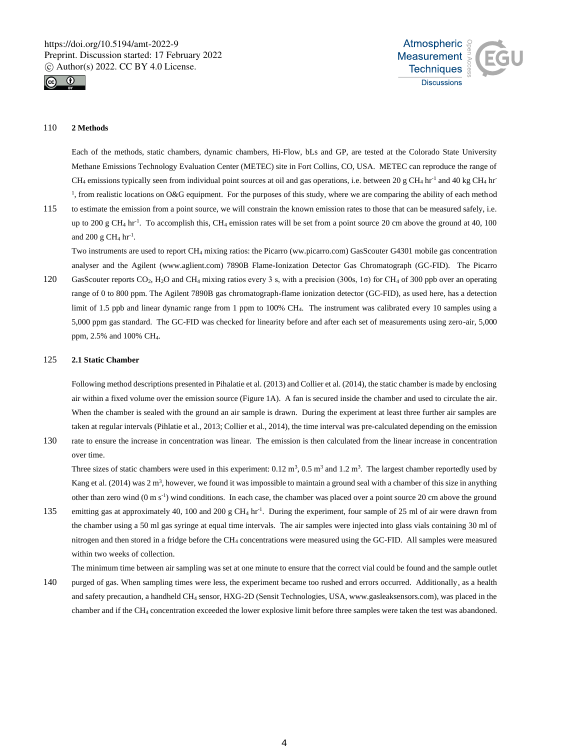



# 110 **2 Methods**

Each of the methods, static chambers, dynamic chambers, Hi-Flow, bLs and GP, are tested at the Colorado State University Methane Emissions Technology Evaluation Center (METEC) site in Fort Collins, CO, USA. METEC can reproduce the range of CH<sub>4</sub> emissions typically seen from individual point sources at oil and gas operations, i.e. between 20 g CH<sub>4</sub> hr<sup>-1</sup> and 40 kg CH<sub>4</sub> hr<sup>-1</sup> <sup>1</sup>, from realistic locations on O&G equipment. For the purposes of this study, where we are comparing the ability of each method

115 to estimate the emission from a point source, we will constrain the known emission rates to those that can be measured safely, i.e. up to 200 g CH<sub>4</sub> hr<sup>-1</sup>. To accomplish this, CH<sub>4</sub> emission rates will be set from a point source 20 cm above the ground at 40, 100 and 200 g CH<sub>4</sub>  $hr^{-1}$ .

Two instruments are used to report CH<sup>4</sup> mixing ratios: the Picarro (ww.picarro.com) GasScouter G4301 mobile gas concentration analyser and the Agilent (www.aglient.com) 7890B Flame-Ionization Detector Gas Chromatograph (GC-FID). The Picarro

120 GasScouter reports CO<sub>2</sub>, H<sub>2</sub>O and CH<sub>4</sub> mixing ratios every 3 s, with a precision (300s, 1 $\sigma$ ) for CH<sub>4</sub> of 300 ppb over an operating range of 0 to 800 ppm. The Agilent 7890B gas chromatograph-flame ionization detector (GC-FID), as used here, has a detection limit of 1.5 ppb and linear dynamic range from 1 ppm to 100% CH4. The instrument was calibrated every 10 samples using a 5,000 ppm gas standard. The GC-FID was checked for linearity before and after each set of measurements using zero-air, 5,000 ppm, 2.5% and 100% CH4.

# 125 **2.1 Static Chamber**

Following method descriptions presented in Pihalatie et al. (2013) and Collier et al. (2014), the static chamber is made by enclosing air within a fixed volume over the emission source (Figure 1A). A fan is secured inside the chamber and used to circulate the air. When the chamber is sealed with the ground an air sample is drawn. During the experiment at least three further air samples are taken at regular intervals (Pihlatie et al., 2013; Collier et al., 2014), the time interval was pre-calculated depending on the emission

130 rate to ensure the increase in concentration was linear. The emission is then calculated from the linear increase in concentration over time.

Three sizes of static chambers were used in this experiment:  $0.12 \text{ m}^3$ ,  $0.5 \text{ m}^3$  and  $1.2 \text{ m}^3$ . The largest chamber reportedly used by Kang et al.  $(2014)$  was  $2 \text{ m}^3$ , however, we found it was impossible to maintain a ground seal with a chamber of this size in anything other than zero wind (0 m s<sup>-1</sup>) wind conditions. In each case, the chamber was placed over a point source 20 cm above the ground

135 emitting gas at approximately 40, 100 and 200 g CH<sub>4</sub> hr<sup>-1</sup>. During the experiment, four sample of 25 ml of air were drawn from the chamber using a 50 ml gas syringe at equal time intervals. The air samples were injected into glass vials containing 30 ml of nitrogen and then stored in a fridge before the CH<sup>4</sup> concentrations were measured using the GC-FID. All samples were measured within two weeks of collection.

The minimum time between air sampling was set at one minute to ensure that the correct vial could be found and the sample outlet

140 purged of gas. When sampling times were less, the experiment became too rushed and errors occurred. Additionally, as a health and safety precaution, a handheld CH<sup>4</sup> sensor, HXG-2D (Sensit Technologies, USA, www.gasleaksensors.com), was placed in the chamber and if the CH<sup>4</sup> concentration exceeded the lower explosive limit before three samples were taken the test was abandoned.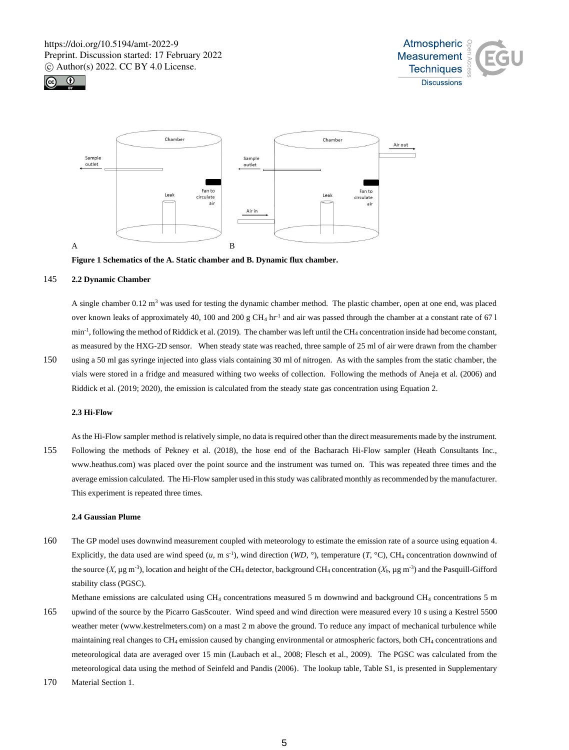





**Figure 1 Schematics of the A. Static chamber and B. Dynamic flux chamber.**

# 145 **2.2 Dynamic Chamber**

A single chamber 0.12 m<sup>3</sup> was used for testing the dynamic chamber method. The plastic chamber, open at one end, was placed over known leaks of approximately 40, 100 and 200 g CH<sub>4</sub> hr<sup>-1</sup> and air was passed through the chamber at a constant rate of 67 l  $min^{-1}$ , following the method of Riddick et al. (2019). The chamber was left until the CH<sub>4</sub> concentration inside had become constant, as measured by the HXG-2D sensor. When steady state was reached, three sample of 25 ml of air were drawn from the chamber

150 using a 50 ml gas syringe injected into glass vials containing 30 ml of nitrogen. As with the samples from the static chamber, the vials were stored in a fridge and measured withing two weeks of collection. Following the methods of Aneja et al. (2006) and Riddick et al. (2019; 2020), the emission is calculated from the steady state gas concentration using Equation 2.

# **2.3 Hi-Flow**

As the Hi-Flow sampler method is relatively simple, no data is required other than the direct measurements made by the instrument. 155 Following the methods of Pekney et al. (2018), the hose end of the Bacharach Hi-Flow sampler (Heath Consultants Inc., www.heathus.com) was placed over the point source and the instrument was turned on. This was repeated three times and the average emission calculated. The Hi-Flow sampler used in this study was calibrated monthly as recommended by the manufacturer. This experiment is repeated three times.

#### **2.4 Gaussian Plume**

160 The GP model uses downwind measurement coupled with meteorology to estimate the emission rate of a source using equation 4. Explicitly, the data used are wind speed  $(u, m s<sup>-1</sup>)$ , wind direction  $(WD, \degree)$ , temperature  $(T, \degree C)$ , CH<sub>4</sub> concentration downwind of the source (*X*, μg m<sup>-3</sup>), location and height of the CH<sub>4</sub> detector, background CH<sub>4</sub> concentration (*X<sub>b</sub>*, μg m<sup>-3</sup>) and the Pasquill-Gifford stability class (PGSC).

Methane emissions are calculated using CH<sub>4</sub> concentrations measured 5 m downwind and background CH<sub>4</sub> concentrations 5 m 165 upwind of the source by the Picarro GasScouter. Wind speed and wind direction were measured every 10 s using a Kestrel 5500 weather meter (www.kestrelmeters.com) on a mast 2 m above the ground. To reduce any impact of mechanical turbulence while maintaining real changes to CH<sub>4</sub> emission caused by changing environmental or atmospheric factors, both CH<sub>4</sub> concentrations and meteorological data are averaged over 15 min (Laubach et al., 2008; Flesch et al., 2009). The PGSC was calculated from the meteorological data using the method of Seinfeld and Pandis (2006). The lookup table, Table S1, is presented in Supplementary

170 Material Section 1.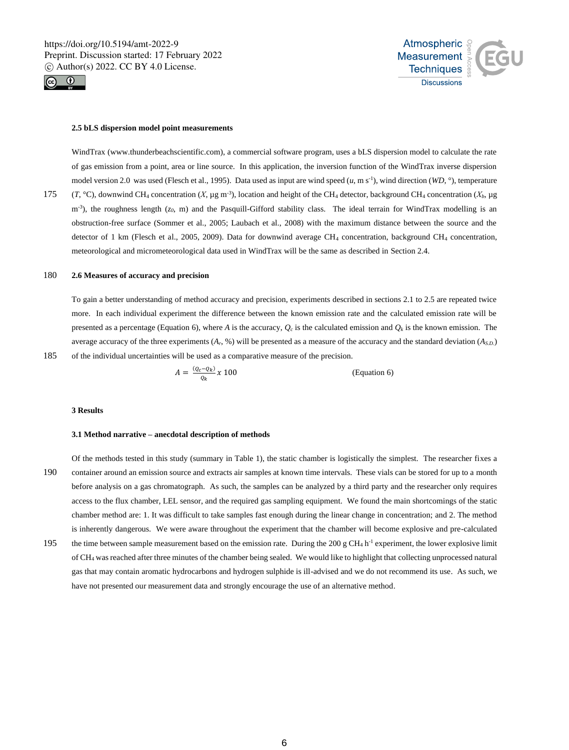



#### **2.5 bLS dispersion model point measurements**

WindTrax (www.thunderbeachscientific.com), a commercial software program, uses a bLS dispersion model to calculate the rate of gas emission from a point, area or line source. In this application, the inversion function of the WindTrax inverse dispersion model version 2.0 was used (Flesch et al., 1995). Data used as input are wind speed  $(u, m s<sup>-1</sup>)$ , wind direction (*WD*,  $\degree$ ), temperature 175 (*T*, °C), downwind CH<sub>4</sub> concentration (*X*, µg m<sup>-3</sup>), location and height of the CH<sub>4</sub> detector, background CH<sub>4</sub> concentration (*X<sub>b</sub>*, µg m<sup>-3</sup>), the roughness length (*z*<sub>0</sub>, m) and the Pasquill-Gifford stability class. The ideal terrain for WindTrax modelling is an obstruction-free surface (Sommer et al., 2005; Laubach et al., 2008) with the maximum distance between the source and the detector of 1 km (Flesch et al., 2005, 2009). Data for downwind average CH<sub>4</sub> concentration, background CH<sub>4</sub> concentration, meteorological and micrometeorological data used in WindTrax will be the same as described in Section 2.4.

# 180 **2.6 Measures of accuracy and precision**

To gain a better understanding of method accuracy and precision, experiments described in sections 2.1 to 2.5 are repeated twice more. In each individual experiment the difference between the known emission rate and the calculated emission rate will be presented as a percentage (Equation 6), where *A* is the accuracy,  $Q_c$  is the calculated emission and  $Q_k$  is the known emission. The average accuracy of the three experiments  $(A_r, \mathcal{C}_r)$  will be presented as a measure of the accuracy and the standard deviation  $(A_{SD})$ 185 of the individual uncertainties will be used as a comparative measure of the precision.

$$
A = \frac{(Q_c - Q_k)}{Q_k} \chi \ 100
$$
 (Equation 6)

#### **3 Results**

#### **3.1 Method narrative – anecdotal description of methods**

Of the methods tested in this study (summary in Table 1), the static chamber is logistically the simplest. The researcher fixes a 190 container around an emission source and extracts air samples at known time intervals. These vials can be stored for up to a month before analysis on a gas chromatograph. As such, the samples can be analyzed by a third party and the researcher only requires access to the flux chamber, LEL sensor, and the required gas sampling equipment. We found the main shortcomings of the static chamber method are: 1. It was difficult to take samples fast enough during the linear change in concentration; and 2. The method is inherently dangerous. We were aware throughout the experiment that the chamber will become explosive and pre-calculated 195 the time between sample measurement based on the emission rate. During the 200 g CH<sub>4</sub> h<sup>-1</sup> experiment, the lower explosive limit of CH<sup>4</sup> was reached after three minutes of the chamber being sealed. We would like to highlight that collecting unprocessed natural gas that may contain aromatic hydrocarbons and hydrogen sulphide is ill-advised and we do not recommend its use. As such, we have not presented our measurement data and strongly encourage the use of an alternative method.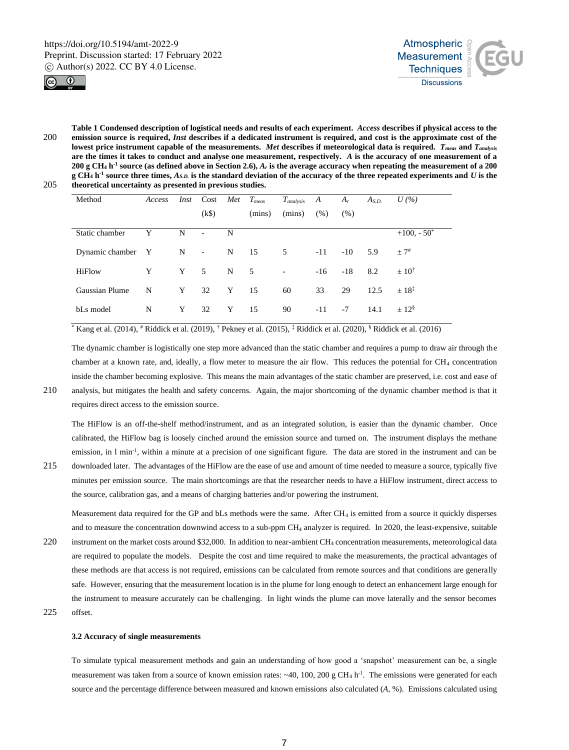



**Table 1 Condensed description of logistical needs and results of each experiment.** *Access* **describes if physical access to the**  200 **emission source is required,** *Inst* **describes if a dedicated instrument is required, and cost is the approximate cost of the lowest price instrument capable of the measurements.** *Met* **describes if meteorological data is required.** *Tmeas* **and** *Tanalysis* **are the times it takes to conduct and analyse one measurement, respectively.** *A* **is the accuracy of one measurement of a 200 g CH<sup>4</sup> h -1 source (as defined above in Section 2.6),** *A<sup>r</sup>* **is the average accuracy when repeating the measurement of a 200 g CH<sup>4</sup> h -1 source three times,** *AS.D.* **is the standard deviation of the accuracy of the three repeated experiments and** *U* **is the**  205 **theoretical uncertainty as presented in previous studies.**

| Method            | Access | Inst | Cost              | Met         | $T_{meas}$ | $T_{analysis}$           | A     | $A_r$ | $A_{S.D.}$ | $U\left(\%\right)$ |
|-------------------|--------|------|-------------------|-------------|------------|--------------------------|-------|-------|------------|--------------------|
|                   |        |      | (k\$)             |             | (mins)     | (mins)                   | (% )  | (% )  |            |                    |
| Static chamber    | Y      | N    | $\sim$            | N           |            |                          |       |       |            | $+100, -50^*$      |
| Dynamic chamber Y |        | N    | $\Delta \sim 100$ | N           | 15         | 5                        | $-11$ | $-10$ | 5.9        | $+7^{\#}$          |
| <b>HiFlow</b>     | Y      | Y    | $5^{\circ}$       | $\mathbf N$ | 5          | $\overline{\phantom{0}}$ | $-16$ | $-18$ | 8.2        | $\pm 10^{\dagger}$ |
| Gaussian Plume    | N      | Y    | 32                | Y           | 15         | 60                       | 33    | 29    | 12.5       | $+18^{1}$          |
| bLs model         | N      | Y    | 32                | Y           | 15         | 90                       | $-11$ | $-7$  | 14.1       | $+128$             |

 $*$  Kang et al. (2014),  $*$  Riddick et al. (2019),  $*$  Pekney et al. (2015),  $*$  Riddick et al. (2020),  $*$  Riddick et al. (2016)

The dynamic chamber is logistically one step more advanced than the static chamber and requires a pump to draw air through the chamber at a known rate, and, ideally, a flow meter to measure the air flow. This reduces the potential for CH<sub>4</sub> concentration inside the chamber becoming explosive. This means the main advantages of the static chamber are preserved, i.e. cost and ease of

210 analysis, but mitigates the health and safety concerns. Again, the major shortcoming of the dynamic chamber method is that it requires direct access to the emission source.

The HiFlow is an off-the-shelf method/instrument, and as an integrated solution, is easier than the dynamic chamber. Once calibrated, the HiFlow bag is loosely cinched around the emission source and turned on. The instrument displays the methane emission, in 1 min<sup>-1</sup>, within a minute at a precision of one significant figure. The data are stored in the instrument and can be

215 downloaded later. The advantages of the HiFlow are the ease of use and amount of time needed to measure a source, typically five minutes per emission source. The main shortcomings are that the researcher needs to have a HiFlow instrument, direct access to the source, calibration gas, and a means of charging batteries and/or powering the instrument.

Measurement data required for the GP and bLs methods were the same. After CH<sup>4</sup> is emitted from a source it quickly disperses and to measure the concentration downwind access to a sub-ppm CH<sub>4</sub> analyzer is required. In 2020, the least-expensive, suitable 220 instrument on the market costs around \$32,000. In addition to near-ambient CH<sup>4</sup> concentration measurements, meteorological data are required to populate the models. Despite the cost and time required to make the measurements, the practical advantages of these methods are that access is not required, emissions can be calculated from remote sources and that conditions are generally safe. However, ensuring that the measurement location is in the plume for long enough to detect an enhancement large enough for the instrument to measure accurately can be challenging. In light winds the plume can move laterally and the sensor becomes 225 offset.

# **3.2 Accuracy of single measurements**

To simulate typical measurement methods and gain an understanding of how good a 'snapshot' measurement can be, a single measurement was taken from a source of known emission rates:  $\sim$ 40, 100, 200 g CH<sub>4</sub> h<sup>-1</sup>. The emissions were generated for each source and the percentage difference between measured and known emissions also calculated (*A*, %). Emissions calculated using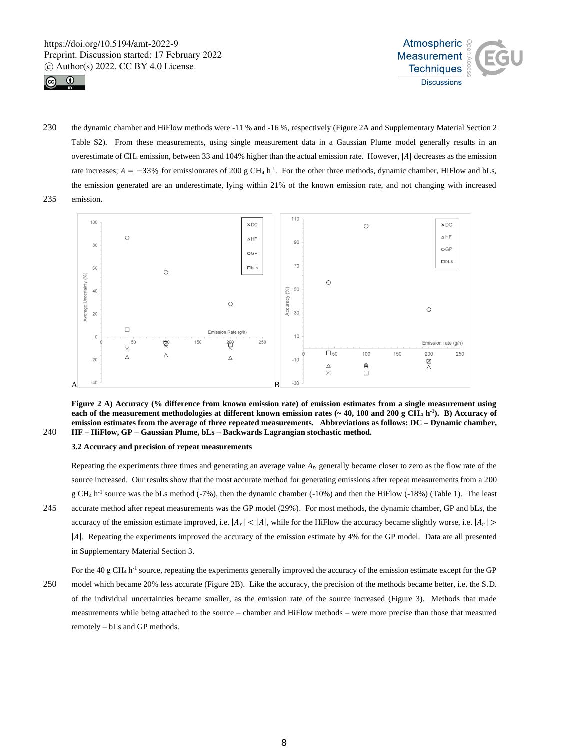



230 the dynamic chamber and HiFlow methods were -11 % and -16 %, respectively (Figure 2A and Supplementary Material Section 2 Table S2). From these measurements, using single measurement data in a Gaussian Plume model generally results in an overestimate of CH<sub>4</sub> emission, between 33 and 104% higher than the actual emission rate. However, |A| decreases as the emission rate increases;  $A = -33\%$  for emissionrates of 200 g CH<sub>4</sub> h<sup>-1</sup>. For the other three methods, dynamic chamber, HiFlow and bLs, the emission generated are an underestimate, lying within 21% of the known emission rate, and not changing with increased 235 emission.



**Figure 2 A) Accuracy (% difference from known emission rate) of emission estimates from a single measurement using each of the measurement methodologies at different known emission rates (** $\sim$  **40, 100 and 200 g CH<sub>4</sub> h<sup>-1</sup>). B) Accuracy of emission estimates from the average of three repeated measurements. Abbreviations as follows: DC – Dynamic chamber,**  240 **HF – HiFlow, GP – Gaussian Plume, bLs – Backwards Lagrangian stochastic method.** 

### **3.2 Accuracy and precision of repeat measurements**

Repeating the experiments three times and generating an average value *Ar*, generally became closer to zero as the flow rate of the source increased. Our results show that the most accurate method for generating emissions after repeat measurements from a 200  $g CH_4 h^{-1}$  source was the bLs method (-7%), then the dynamic chamber (-10%) and then the HiFlow (-18%) (Table 1). The least 245 accurate method after repeat measurements was the GP model (29%). For most methods, the dynamic chamber, GP and bLs, the accuracy of the emission estimate improved, i.e.  $|A_r| < |A|$ , while for the HiFlow the accuracy became slightly worse, i.e.  $|A_r|$ |A|. Repeating the experiments improved the accuracy of the emission estimate by 4% for the GP model. Data are all presented in Supplementary Material Section 3.

For the 40 g CH<sub>4</sub> h<sup>-1</sup> source, repeating the experiments generally improved the accuracy of the emission estimate except for the GP 250 model which became 20% less accurate (Figure 2B). Like the accuracy, the precision of the methods became better, i.e. the S.D. of the individual uncertainties became smaller, as the emission rate of the source increased (Figure 3). Methods that made measurements while being attached to the source – chamber and HiFlow methods – were more precise than those that measured remotely – bLs and GP methods.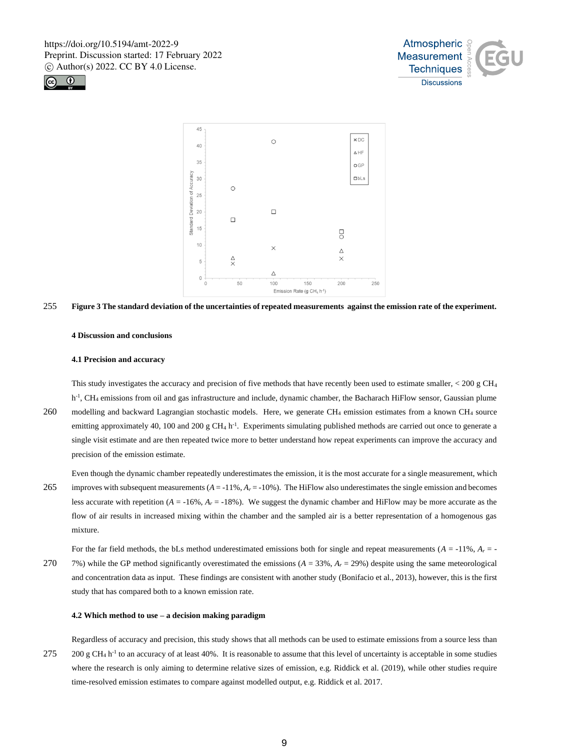





255 **Figure 3 The standard deviation of the uncertainties of repeated measurements against the emission rate of the experiment.** 

#### **4 Discussion and conclusions**

#### **4.1 Precision and accuracy**

This study investigates the accuracy and precision of five methods that have recently been used to estimate smaller,  $< 200 \text{ g CH}_4$ h<sup>-1</sup>, CH<sub>4</sub> emissions from oil and gas infrastructure and include, dynamic chamber, the Bacharach HiFlow sensor, Gaussian plume 260 modelling and backward Lagrangian stochastic models. Here, we generate CH<sup>4</sup> emission estimates from a known CH<sup>4</sup> source emitting approximately 40, 100 and 200 g  $CH_4$  h<sup>-1</sup>. Experiments simulating published methods are carried out once to generate a single visit estimate and are then repeated twice more to better understand how repeat experiments can improve the accuracy and precision of the emission estimate.

Even though the dynamic chamber repeatedly underestimates the emission, it is the most accurate for a single measurement, which 265 improves with subsequent measurements (*A* = -11%, *A<sup>r</sup>* = -10%). The HiFlow also underestimates the single emission and becomes less accurate with repetition  $(A = -16\%, A_r = -18\%)$ . We suggest the dynamic chamber and HiFlow may be more accurate as the flow of air results in increased mixing within the chamber and the sampled air is a better representation of a homogenous gas mixture.

For the far field methods, the bLs method underestimated emissions both for single and repeat measurements  $(A = -11\%, A_r = -11\%)$ 270 7%) while the GP method significantly overestimated the emissions  $(A = 33\%, A_r = 29\%)$  despite using the same meteorological and concentration data as input. These findings are consistent with another study (Bonifacio et al., 2013), however, this is the first study that has compared both to a known emission rate.

#### **4.2 Which method to use – a decision making paradigm**

Regardless of accuracy and precision, this study shows that all methods can be used to estimate emissions from a source less than  $275$  200 g CH<sub>4</sub> h<sup>-1</sup> to an accuracy of at least 40%. It is reasonable to assume that this level of uncertainty is acceptable in some studies where the research is only aiming to determine relative sizes of emission, e.g. Riddick et al. (2019), while other studies require time-resolved emission estimates to compare against modelled output, e.g. Riddick et al. 2017.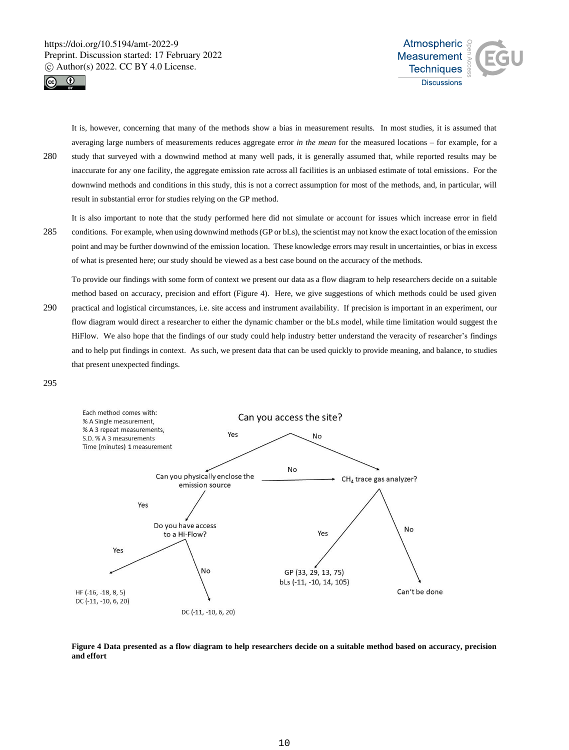



It is, however, concerning that many of the methods show a bias in measurement results. In most studies, it is assumed that averaging large numbers of measurements reduces aggregate error *in the mean* for the measured locations – for example, for a 280 study that surveyed with a downwind method at many well pads, it is generally assumed that, while reported results may be inaccurate for any one facility, the aggregate emission rate across all facilities is an unbiased estimate of total emissions. For the downwind methods and conditions in this study, this is not a correct assumption for most of the methods, and, in particular, will result in substantial error for studies relying on the GP method.

It is also important to note that the study performed here did not simulate or account for issues which increase error in field 285 conditions. For example, when using downwind methods (GP or bLs), the scientist may not know the exact location of the emission point and may be further downwind of the emission location. These knowledge errors may result in uncertainties, or bias in excess of what is presented here; our study should be viewed as a best case bound on the accuracy of the methods.

To provide our findings with some form of context we present our data as a flow diagram to help researchers decide on a suitable method based on accuracy, precision and effort (Figure 4). Here, we give suggestions of which methods could be used given 290 practical and logistical circumstances, i.e. site access and instrument availability. If precision is important in an experiment, our flow diagram would direct a researcher to either the dynamic chamber or the bLs model, while time limitation would suggest the HiFlow. We also hope that the findings of our study could help industry better understand the veracity of researcher's findings and to help put findings in context. As such, we present data that can be used quickly to provide meaning, and balance, to studies that present unexpected findings.

295



**Figure 4 Data presented as a flow diagram to help researchers decide on a suitable method based on accuracy, precision and effort**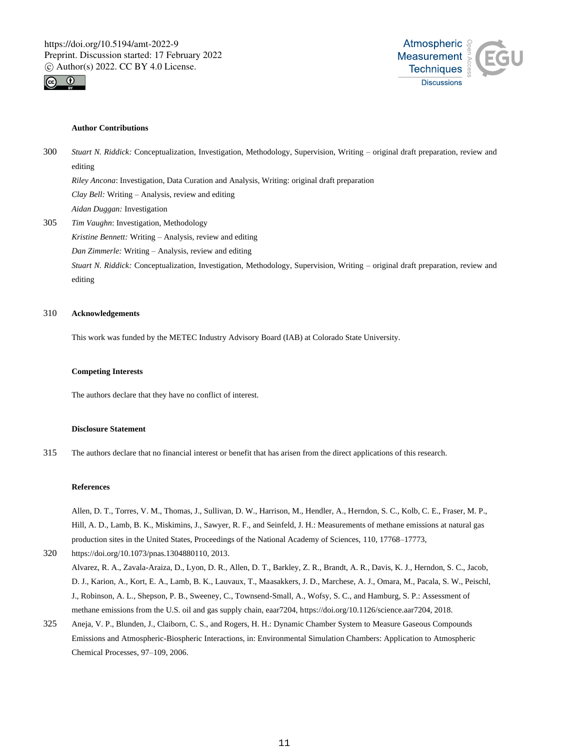



# **Author Contributions**

300 *Stuart N. Riddick:* Conceptualization, Investigation, Methodology, Supervision, Writing – original draft preparation, review and editing *Riley Ancona*: Investigation, Data Curation and Analysis, Writing: original draft preparation

*Clay Bell:* Writing – Analysis, review and editing *Aidan Duggan:* Investigation

305 *Tim Vaughn*: Investigation, Methodology *Kristine Bennett:* Writing – Analysis, review and editing *Dan Zimmerle:* Writing – Analysis, review and editing *Stuart N. Riddick:* Conceptualization, Investigation, Methodology, Supervision, Writing – original draft preparation, review and editing

# 310 **Acknowledgements**

This work was funded by the METEC Industry Advisory Board (IAB) at Colorado State University.

#### **Competing Interests**

The authors declare that they have no conflict of interest.

#### **Disclosure Statement**

315 The authors declare that no financial interest or benefit that has arisen from the direct applications of this research.

#### **References**

Allen, D. T., Torres, V. M., Thomas, J., Sullivan, D. W., Harrison, M., Hendler, A., Herndon, S. C., Kolb, C. E., Fraser, M. P., Hill, A. D., Lamb, B. K., Miskimins, J., Sawyer, R. F., and Seinfeld, J. H.: Measurements of methane emissions at natural gas production sites in the United States, Proceedings of the National Academy of Sciences, 110, 17768–17773,

# 320 https://doi.org/10.1073/pnas.1304880110, 2013. Alvarez, R. A., Zavala-Araiza, D., Lyon, D. R., Allen, D. T., Barkley, Z. R., Brandt, A. R., Davis, K. J., Herndon, S. C., Jacob, D. J., Karion, A., Kort, E. A., Lamb, B. K., Lauvaux, T., Maasakkers, J. D., Marchese, A. J., Omara, M., Pacala, S. W., Peischl,

- J., Robinson, A. L., Shepson, P. B., Sweeney, C., Townsend-Small, A., Wofsy, S. C., and Hamburg, S. P.: Assessment of methane emissions from the U.S. oil and gas supply chain, eaar7204, https://doi.org/10.1126/science.aar7204, 2018.
- 325 Aneja, V. P., Blunden, J., Claiborn, C. S., and Rogers, H. H.: Dynamic Chamber System to Measure Gaseous Compounds Emissions and Atmospheric-Biospheric Interactions, in: Environmental Simulation Chambers: Application to Atmospheric Chemical Processes, 97–109, 2006.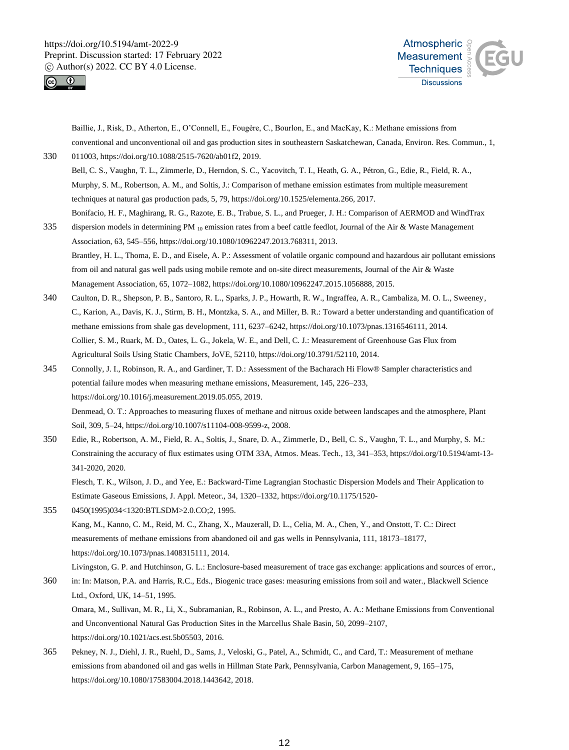



Baillie, J., Risk, D., Atherton, E., O'Connell, E., Fougère, C., Bourlon, E., and MacKay, K.: Methane emissions from conventional and unconventional oil and gas production sites in southeastern Saskatchewan, Canada, Environ. Res. Commun., 1, 330 011003, https://doi.org/10.1088/2515-7620/ab01f2, 2019.

Bell, C. S., Vaughn, T. L., Zimmerle, D., Herndon, S. C., Yacovitch, T. I., Heath, G. A., Pétron, G., Edie, R., Field, R. A., Murphy, S. M., Robertson, A. M., and Soltis, J.: Comparison of methane emission estimates from multiple measurement techniques at natural gas production pads, 5, 79, https://doi.org/10.1525/elementa.266, 2017. Bonifacio, H. F., Maghirang, R. G., Razote, E. B., Trabue, S. L., and Prueger, J. H.: Comparison of AERMOD and WindTrax

- 335 dispersion models in determining PM  $_{10}$  emission rates from a beef cattle feedlot, Journal of the Air & Waste Management Association, 63, 545–556, https://doi.org/10.1080/10962247.2013.768311, 2013. Brantley, H. L., Thoma, E. D., and Eisele, A. P.: Assessment of volatile organic compound and hazardous air pollutant emissions from oil and natural gas well pads using mobile remote and on-site direct measurements, Journal of the Air & Waste Management Association, 65, 1072–1082, https://doi.org/10.1080/10962247.2015.1056888, 2015.
- 340 Caulton, D. R., Shepson, P. B., Santoro, R. L., Sparks, J. P., Howarth, R. W., Ingraffea, A. R., Cambaliza, M. O. L., Sweeney, C., Karion, A., Davis, K. J., Stirm, B. H., Montzka, S. A., and Miller, B. R.: Toward a better understanding and quantification of methane emissions from shale gas development, 111, 6237–6242, https://doi.org/10.1073/pnas.1316546111, 2014. Collier, S. M., Ruark, M. D., Oates, L. G., Jokela, W. E., and Dell, C. J.: Measurement of Greenhouse Gas Flux from Agricultural Soils Using Static Chambers, JoVE, 52110, https://doi.org/10.3791/52110, 2014.
- 345 Connolly, J. I., Robinson, R. A., and Gardiner, T. D.: Assessment of the Bacharach Hi Flow® Sampler characteristics and potential failure modes when measuring methane emissions, Measurement, 145, 226–233, https://doi.org/10.1016/j.measurement.2019.05.055, 2019. Denmead, O. T.: Approaches to measuring fluxes of methane and nitrous oxide between landscapes and the atmosphere, Plant

Soil, 309, 5–24, https://doi.org/10.1007/s11104-008-9599-z, 2008.

350 Edie, R., Robertson, A. M., Field, R. A., Soltis, J., Snare, D. A., Zimmerle, D., Bell, C. S., Vaughn, T. L., and Murphy, S. M.: Constraining the accuracy of flux estimates using OTM 33A, Atmos. Meas. Tech., 13, 341–353, https://doi.org/10.5194/amt-13- 341-2020, 2020.

Flesch, T. K., Wilson, J. D., and Yee, E.: Backward-Time Lagrangian Stochastic Dispersion Models and Their Application to Estimate Gaseous Emissions, J. Appl. Meteor., 34, 1320–1332, https://doi.org/10.1175/1520-

355 0450(1995)034<1320:BTLSDM>2.0.CO;2, 1995. Kang, M., Kanno, C. M., Reid, M. C., Zhang, X., Mauzerall, D. L., Celia, M. A., Chen, Y., and Onstott, T. C.: Direct measurements of methane emissions from abandoned oil and gas wells in Pennsylvania, 111, 18173–18177, https://doi.org/10.1073/pnas.1408315111, 2014.

Livingston, G. P. and Hutchinson, G. L.: Enclosure-based measurement of trace gas exchange: applications and sources of error., 360 in: In: Matson, P.A. and Harris, R.C., Eds., Biogenic trace gases: measuring emissions from soil and water., Blackwell Science Ltd., Oxford, UK, 14–51, 1995. Omara, M., Sullivan, M. R., Li, X., Subramanian, R., Robinson, A. L., and Presto, A. A.: Methane Emissions from Conventional and Unconventional Natural Gas Production Sites in the Marcellus Shale Basin, 50, 2099–2107, https://doi.org/10.1021/acs.est.5b05503, 2016.

365 Pekney, N. J., Diehl, J. R., Ruehl, D., Sams, J., Veloski, G., Patel, A., Schmidt, C., and Card, T.: Measurement of methane emissions from abandoned oil and gas wells in Hillman State Park, Pennsylvania, Carbon Management, 9, 165–175, https://doi.org/10.1080/17583004.2018.1443642, 2018.